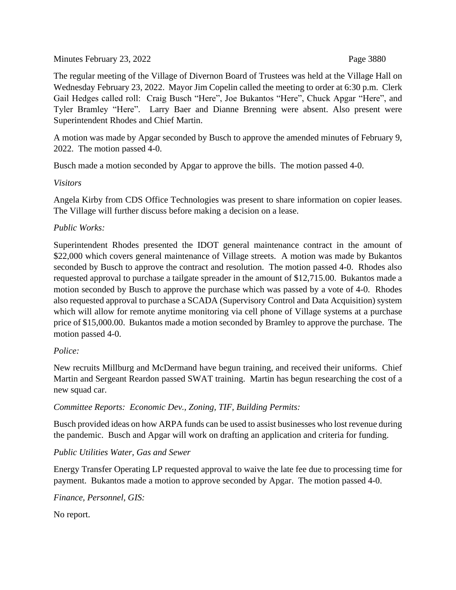## Minutes February 23, 2022 **Page 3880**

The regular meeting of the Village of Divernon Board of Trustees was held at the Village Hall on Wednesday February 23, 2022. Mayor Jim Copelin called the meeting to order at 6:30 p.m. Clerk Gail Hedges called roll: Craig Busch "Here", Joe Bukantos "Here", Chuck Apgar "Here", and Tyler Bramley "Here". Larry Baer and Dianne Brenning were absent. Also present were Superintendent Rhodes and Chief Martin.

A motion was made by Apgar seconded by Busch to approve the amended minutes of February 9, 2022. The motion passed 4-0.

Busch made a motion seconded by Apgar to approve the bills. The motion passed 4-0.

# *Visitors*

Angela Kirby from CDS Office Technologies was present to share information on copier leases. The Village will further discuss before making a decision on a lease.

### *Public Works:*

Superintendent Rhodes presented the IDOT general maintenance contract in the amount of \$22,000 which covers general maintenance of Village streets. A motion was made by Bukantos seconded by Busch to approve the contract and resolution. The motion passed 4-0. Rhodes also requested approval to purchase a tailgate spreader in the amount of \$12,715.00. Bukantos made a motion seconded by Busch to approve the purchase which was passed by a vote of 4-0. Rhodes also requested approval to purchase a SCADA (Supervisory Control and Data Acquisition) system which will allow for remote anytime monitoring via cell phone of Village systems at a purchase price of \$15,000.00. Bukantos made a motion seconded by Bramley to approve the purchase. The motion passed 4-0.

# *Police:*

New recruits Millburg and McDermand have begun training, and received their uniforms. Chief Martin and Sergeant Reardon passed SWAT training. Martin has begun researching the cost of a new squad car.

# *Committee Reports: Economic Dev., Zoning, TIF, Building Permits:*

Busch provided ideas on how ARPA funds can be used to assist businesses who lost revenue during the pandemic. Busch and Apgar will work on drafting an application and criteria for funding.

# *Public Utilities Water, Gas and Sewer*

Energy Transfer Operating LP requested approval to waive the late fee due to processing time for payment. Bukantos made a motion to approve seconded by Apgar. The motion passed 4-0.

*Finance, Personnel, GIS:*

No report.